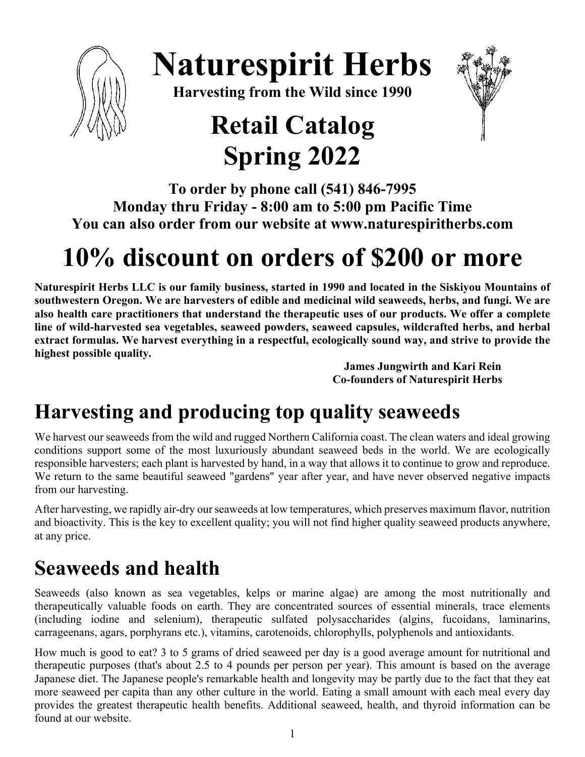

# **Naturespirit Herbs**

**Harvesting from the Wild since 1990**

# **Retail Catalog Spring 2022**



**To order by phone call (541) 846-7995 Monday thru Friday - 8:00 am to 5:00 pm Pacific Time You can also order from our website at www.naturespiritherbs.com**

# **10% discount on orders of \$200 or more**

**Naturespirit Herbs LLC is our family business, started in 1990 and located in the Siskiyou Mountains of southwestern Oregon. We are harvesters of edible and medicinal wild seaweeds, herbs, and fungi. We are also health care practitioners that understand the therapeutic uses of our products. We offer a complete line of wild-harvested sea vegetables, seaweed powders, seaweed capsules, wildcrafted herbs, and herbal extract formulas. We harvest everything in a respectful, ecologically sound way, and strive to provide the highest possible quality.** 

 **James Jungwirth and Kari Rein Co-founders of Naturespirit Herbs** 

## **Harvesting and producing top quality seaweeds**

We harvest our seaweeds from the wild and rugged Northern California coast. The clean waters and ideal growing conditions support some of the most luxuriously abundant seaweed beds in the world. We are ecologically responsible harvesters; each plant is harvested by hand, in a way that allows it to continue to grow and reproduce. We return to the same beautiful seaweed "gardens" year after year, and have never observed negative impacts from our harvesting.

After harvesting, we rapidly air-dry our seaweeds at low temperatures, which preserves maximum flavor, nutrition and bioactivity. This is the key to excellent quality; you will not find higher quality seaweed products anywhere, at any price.

## **Seaweeds and health**

Seaweeds (also known as sea vegetables, kelps or marine algae) are among the most nutritionally and therapeutically valuable foods on earth. They are concentrated sources of essential minerals, trace elements (including iodine and selenium), therapeutic sulfated polysaccharides (algins, fucoidans, laminarins, carrageenans, agars, porphyrans etc.), vitamins, carotenoids, chlorophylls, polyphenols and antioxidants.

How much is good to eat? 3 to 5 grams of dried seaweed per day is a good average amount for nutritional and therapeutic purposes (that's about 2.5 to 4 pounds per person per year). This amount is based on the average Japanese diet. The Japanese people's remarkable health and longevity may be partly due to the fact that they eat more seaweed per capita than any other culture in the world. Eating a small amount with each meal every day provides the greatest therapeutic health benefits. Additional seaweed, health, and thyroid information can be found at our website.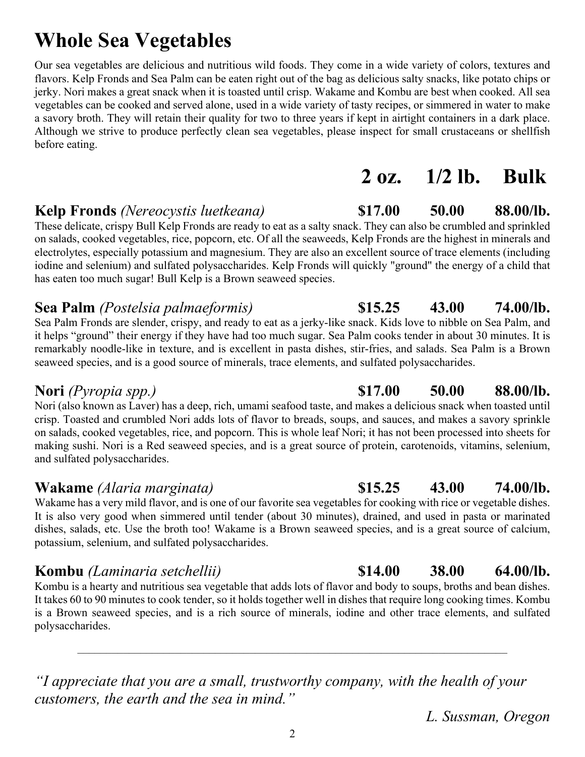## **Whole Sea Vegetables**

Our sea vegetables are delicious and nutritious wild foods. They come in a wide variety of colors, textures and flavors. Kelp Fronds and Sea Palm can be eaten right out of the bag as delicious salty snacks, like potato chips or jerky. Nori makes a great snack when it is toasted until crisp. Wakame and Kombu are best when cooked. All sea vegetables can be cooked and served alone, used in a wide variety of tasty recipes, or simmered in water to make a savory broth. They will retain their quality for two to three years if kept in airtight containers in a dark place. Although we strive to produce perfectly clean sea vegetables, please inspect for small crustaceans or shellfish before eating.

### **Kelp Fronds** *(Nereocystis luetkeana)* **\$17.00 50.00 88.00/lb.**

These delicate, crispy Bull Kelp Fronds are ready to eat as a salty snack. They can also be crumbled and sprinkled on salads, cooked vegetables, rice, popcorn, etc. Of all the seaweeds, Kelp Fronds are the highest in minerals and electrolytes, especially potassium and magnesium. They are also an excellent source of trace elements (including iodine and selenium) and sulfated polysaccharides. Kelp Fronds will quickly "ground" the energy of a child that has eaten too much sugar! Bull Kelp is a Brown seaweed species.

### **Sea Palm** *(Postelsia palmaeformis)* **\$15.25 43.00 74.00/lb.**

Sea Palm Fronds are slender, crispy, and ready to eat as a jerky-like snack. Kids love to nibble on Sea Palm, and it helps "ground" their energy if they have had too much sugar. Sea Palm cooks tender in about 30 minutes. It is remarkably noodle-like in texture, and is excellent in pasta dishes, stir-fries, and salads. Sea Palm is a Brown seaweed species, and is a good source of minerals, trace elements, and sulfated polysaccharides.

Nori (also known as Laver) has a deep, rich, umami seafood taste, and makes a delicious snack when toasted until crisp. Toasted and crumbled Nori adds lots of flavor to breads, soups, and sauces, and makes a savory sprinkle on salads, cooked vegetables, rice, and popcorn. This is whole leaf Nori; it has not been processed into sheets for making sushi. Nori is a Red seaweed species, and is a great source of protein, carotenoids, vitamins, selenium, and sulfated polysaccharides.

### **Wakame** *(Alaria marginata)* **\$15.25 43.00 74.00/lb.**

Wakame has a very mild flavor, and is one of our favorite sea vegetables for cooking with rice or vegetable dishes. It is also very good when simmered until tender (about 30 minutes), drained, and used in pasta or marinated dishes, salads, etc. Use the broth too! Wakame is a Brown seaweed species, and is a great source of calcium, potassium, selenium, and sulfated polysaccharides.

Kombu is a hearty and nutritious sea vegetable that adds lots of flavor and body to soups, broths and bean dishes. It takes 60 to 90 minutes to cook tender, so it holds together well in dishes that require long cooking times. Kombu is a Brown seaweed species, and is a rich source of minerals, iodine and other trace elements, and sulfated polysaccharides.

–––––––––––––––––––––––––––––––––––––––––––––––––––––––––––––––––––––––––––

*"I appreciate that you are a small, trustworthy company, with the health of your customers, the earth and the sea in mind."*

2

#### **Nori** *(Pyropia spp.)* \$17.00 **50.00 88.00/lb.**

### **Kombu** *(Laminaria setchellii)* **\$14.00 38.00 64.00/lb.**

*L. Sussman, Oregon*

**2 oz. 1/2 lb. Bulk**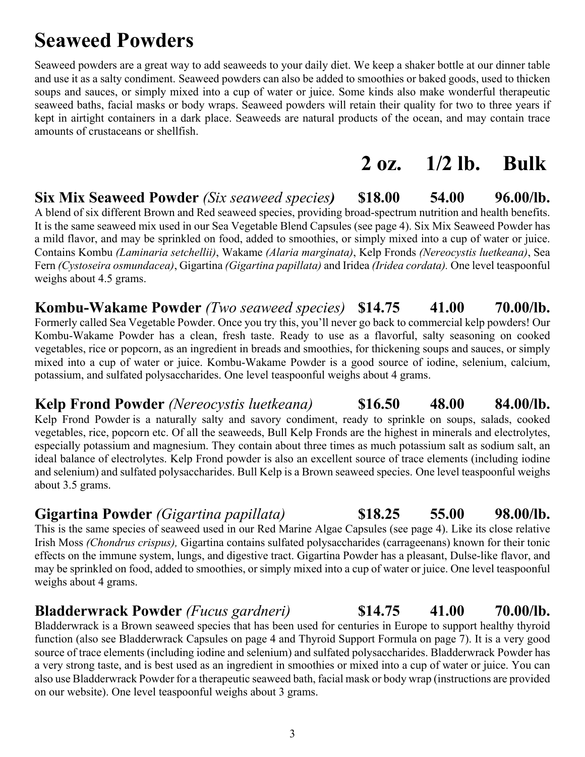## **Seaweed Powders**

Seaweed powders are a great way to add seaweeds to your daily diet. We keep a shaker bottle at our dinner table and use it as a salty condiment. Seaweed powders can also be added to smoothies or baked goods, used to thicken soups and sauces, or simply mixed into a cup of water or juice. Some kinds also make wonderful therapeutic seaweed baths, facial masks or body wraps. Seaweed powders will retain their quality for two to three years if kept in airtight containers in a dark place. Seaweeds are natural products of the ocean, and may contain trace amounts of crustaceans or shellfish.

## **2 oz. 1/2 lb. Bulk**

### **Six Mix Seaweed Powder** *(Six seaweed species)* **\$18.00 54.00 96.00/lb.**

A blend of six different Brown and Red seaweed species, providing broad-spectrum nutrition and health benefits. It is the same seaweed mix used in our Sea Vegetable Blend Capsules (see page 4). Six Mix Seaweed Powder has a mild flavor, and may be sprinkled on food, added to smoothies, or simply mixed into a cup of water or juice. Contains Kombu *(Laminaria setchellii)*, Wakame *(Alaria marginata)*, Kelp Fronds *(Nereocystis luetkeana)*, Sea Fern *(Cystoseira osmundacea)*, Gigartina *(Gigartina papillata)* and Iridea *(Iridea cordata).* One level teaspoonful weighs about 4.5 grams.

## **Kombu-Wakame Powder** *(Two seaweed species)* **\$14.75 41.00 70.00/lb.**

Formerly called Sea Vegetable Powder. Once you try this, you'll never go back to commercial kelp powders! Our Kombu-Wakame Powder has a clean, fresh taste. Ready to use as a flavorful, salty seasoning on cooked vegetables, rice or popcorn, as an ingredient in breads and smoothies, for thickening soups and sauces, or simply mixed into a cup of water or juice. Kombu-Wakame Powder is a good source of iodine, selenium, calcium, potassium, and sulfated polysaccharides. One level teaspoonful weighs about 4 grams.

#### **Kelp Frond Powder** *(Nereocystis luetkeana)* **\$16.50 48.00 84.00/lb.**

Kelp Frond Powder is a naturally salty and savory condiment, ready to sprinkle on soups, salads, cooked vegetables, rice, popcorn etc. Of all the seaweeds, Bull Kelp Fronds are the highest in minerals and electrolytes, especially potassium and magnesium. They contain about three times as much potassium salt as sodium salt, an ideal balance of electrolytes. Kelp Frond powder is also an excellent source of trace elements (including iodine and selenium) and sulfated polysaccharides. Bull Kelp is a Brown seaweed species. One level teaspoonful weighs about 3.5 grams.

### **Gigartina Powder** *(Gigartina papillata)* **\$18.25 55.00 98.00/lb.**

This is the same species of seaweed used in our Red Marine Algae Capsules (see page 4). Like its close relative Irish Moss *(Chondrus crispus),* Gigartina contains sulfated polysaccharides (carrageenans) known for their tonic effects on the immune system, lungs, and digestive tract. Gigartina Powder has a pleasant, Dulse-like flavor, and may be sprinkled on food, added to smoothies, or simply mixed into a cup of water or juice. One level teaspoonful weighs about 4 grams.

### **Bladderwrack Powder** *(Fucus gardneri)* **\$14.75 41.00 70.00/lb.**

Bladderwrack is a Brown seaweed species that has been used for centuries in Europe to support healthy thyroid function (also see Bladderwrack Capsules on page 4 and Thyroid Support Formula on page 7). It is a very good source of trace elements (including iodine and selenium) and sulfated polysaccharides. Bladderwrack Powder has a very strong taste, and is best used as an ingredient in smoothies or mixed into a cup of water or juice. You can also use Bladderwrack Powder for a therapeutic seaweed bath, facial mask or body wrap (instructions are provided on our website). One level teaspoonful weighs about 3 grams.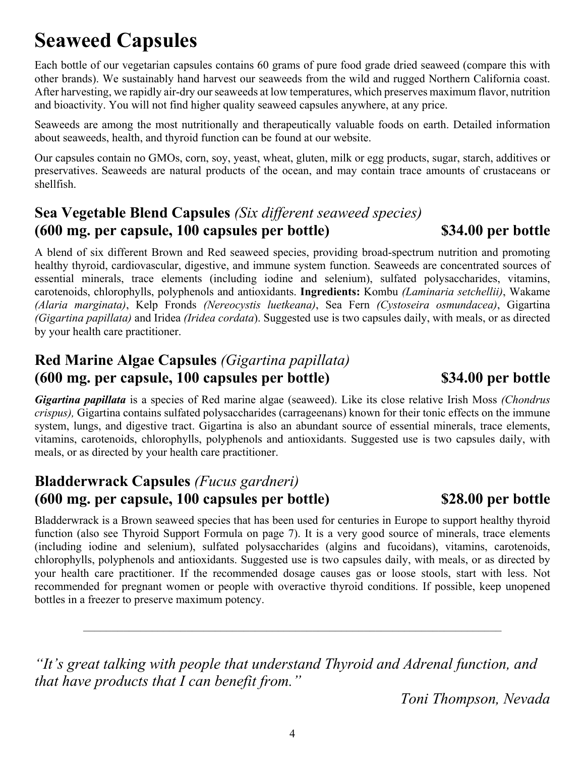## **Seaweed Capsules**

Each bottle of our vegetarian capsules contains 60 grams of pure food grade dried seaweed (compare this with other brands). We sustainably hand harvest our seaweeds from the wild and rugged Northern California coast. After harvesting, we rapidly air-dry our seaweeds at low temperatures, which preserves maximum flavor, nutrition and bioactivity. You will not find higher quality seaweed capsules anywhere, at any price.

Seaweeds are among the most nutritionally and therapeutically valuable foods on earth. Detailed information about seaweeds, health, and thyroid function can be found at our website.

Our capsules contain no GMOs, corn, soy, yeast, wheat, gluten, milk or egg products, sugar, starch, additives or preservatives. Seaweeds are natural products of the ocean, and may contain trace amounts of crustaceans or shellfish.

### **Sea Vegetable Blend Capsules** *(Six different seaweed species)* **(600 mg. per capsule, 100 capsules per bottle) \$34.00 per bottle**

A blend of six different Brown and Red seaweed species, providing broad-spectrum nutrition and promoting healthy thyroid, cardiovascular, digestive, and immune system function. Seaweeds are concentrated sources of essential minerals, trace elements (including iodine and selenium), sulfated polysaccharides, vitamins, carotenoids, chlorophylls, polyphenols and antioxidants. **Ingredients:** Kombu *(Laminaria setchellii)*, Wakame *(Alaria marginata)*, Kelp Fronds *(Nereocystis luetkeana)*, Sea Fern *(Cystoseira osmundacea)*, Gigartina *(Gigartina papillata)* and Iridea *(Iridea cordata*). Suggested use is two capsules daily, with meals, or as directed by your health care practitioner.

### **Red Marine Algae Capsules** *(Gigartina papillata)* **(600 mg. per capsule, 100 capsules per bottle) \$34.00 per bottle**

*Gigartina papillata* is a species of Red marine algae (seaweed). Like its close relative Irish Moss *(Chondrus crispus),* Gigartina contains sulfated polysaccharides (carrageenans) known for their tonic effects on the immune system, lungs, and digestive tract. Gigartina is also an abundant source of essential minerals, trace elements, vitamins, carotenoids, chlorophylls, polyphenols and antioxidants. Suggested use is two capsules daily, with meals, or as directed by your health care practitioner.

### **Bladderwrack Capsules** *(Fucus gardneri)* **(600 mg. per capsule, 100 capsules per bottle) \$28.00 per bottle**

Bladderwrack is a Brown seaweed species that has been used for centuries in Europe to support healthy thyroid function (also see Thyroid Support Formula on page 7). It is a very good source of minerals, trace elements (including iodine and selenium), sulfated polysaccharides (algins and fucoidans), vitamins, carotenoids, chlorophylls, polyphenols and antioxidants. Suggested use is two capsules daily, with meals, or as directed by your health care practitioner. If the recommended dosage causes gas or loose stools, start with less. Not recommended for pregnant women or people with overactive thyroid conditions. If possible, keep unopened bottles in a freezer to preserve maximum potency.

*"It's great talking with people that understand Thyroid and Adrenal function, and that have products that I can benefit from."*

–––––––––––––––––––––––––––––––––––––––––––––––––––––––––––––––––––––––––

*Toni Thompson, Nevada*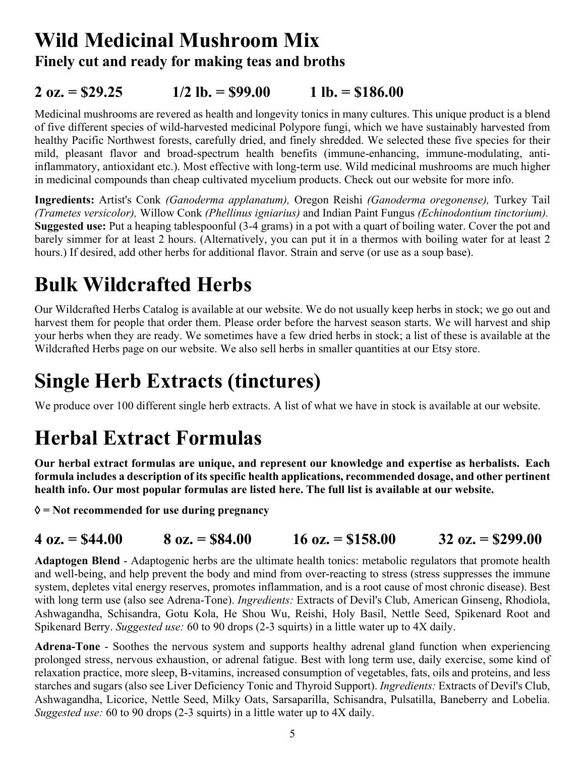## **Wild Medicinal Mushroom Mix Finely cut and ready for making teas and broths**

### **2 oz. = \$29.25 1/2 lb. = \$99.00 1 lb. = \$186.00**

Medicinal mushrooms are revered as health and longevity tonics in many cultures. This unique product is a blend of five different species of wild-harvested medicinal Polypore fungi, which we have sustainably harvested from healthy Pacific Northwest forests, carefully dried, and finely shredded. We selected these five species for their mild, pleasant flavor and broad-spectrum health benefits (immune-enhancing, immune-modulating, antiinflammatory, antioxidant etc.). Most effective with long-term use. Wild medicinal mushrooms are much higher in medicinal compounds than cheap cultivated mycelium products. Check out our website for more info.

**Ingredients:** Artist's Conk *(Ganoderma applanatum),* Oregon Reishi *(Ganoderma oregonense),* Turkey Tail *(Trametes versicolor),* Willow Conk *(Phellinus igniarius)* and Indian Paint Fungus *(Echinodontium tinctorium).* **Suggested use:** Put a heaping tablespoonful (3-4 grams) in a pot with a quart of boiling water. Cover the pot and barely simmer for at least 2 hours. (Alternatively, you can put it in a thermos with boiling water for at least 2 hours.) If desired, add other herbs for additional flavor. Strain and serve (or use as a soup base).

## **Bulk Wildcrafted Herbs**

Our Wildcrafted Herbs Catalog is available at our website. We do not usually keep herbs in stock; we go out and harvest them for people that order them. Please order before the harvest season starts. We will harvest and ship your herbs when they are ready. We sometimes have a few dried herbs in stock; a list of these is available at the Wildcrafted Herbs page on our website. We also sell herbs in smaller quantities at our Etsy store.

## **Single Herb Extracts (tinctures)**

We produce over 100 different single herb extracts. A list of what we have in stock is available at our website.

## **Herbal Extract Formulas**

**Our herbal extract formulas are unique, and represent our knowledge and expertise as herbalists. Each formula includes a description of its specific health applications, recommended dosage, and other pertinent health info. Our most popular formulas are listed here. The full list is available at our website.** 

à **= Not recommended for use during pregnancy** 

### **4 oz. = \$44.00 8 oz. = \$84.00 16 oz. = \$158.00 32 oz. = \$299.00**

**Adaptogen Blend** - Adaptogenic herbs are the ultimate health tonics: metabolic regulators that promote health and well-being, and help prevent the body and mind from over-reacting to stress (stress suppresses the immune system, depletes vital energy reserves, promotes inflammation, and is a root cause of most chronic disease). Best with long term use (also see Adrena-Tone). *Ingredients:* Extracts of Devil's Club, American Ginseng, Rhodiola, Ashwagandha, Schisandra, Gotu Kola, He Shou Wu, Reishi, Holy Basil, Nettle Seed, Spikenard Root and Spikenard Berry. *Suggested use:* 60 to 90 drops (2-3 squirts) in a little water up to 4X daily.

**Adrena-Tone** - Soothes the nervous system and supports healthy adrenal gland function when experiencing prolonged stress, nervous exhaustion, or adrenal fatigue. Best with long term use, daily exercise, some kind of relaxation practice, more sleep, B-vitamins, increased consumption of vegetables, fats, oils and proteins, and less starches and sugars (also see Liver Deficiency Tonic and Thyroid Support). *Ingredients:* Extracts of Devil's Club, Ashwagandha, Licorice, Nettle Seed, Milky Oats, Sarsaparilla, Schisandra, Pulsatilla, Baneberry and Lobelia. *Suggested use:* 60 to 90 drops (2-3 squirts) in a little water up to 4X daily.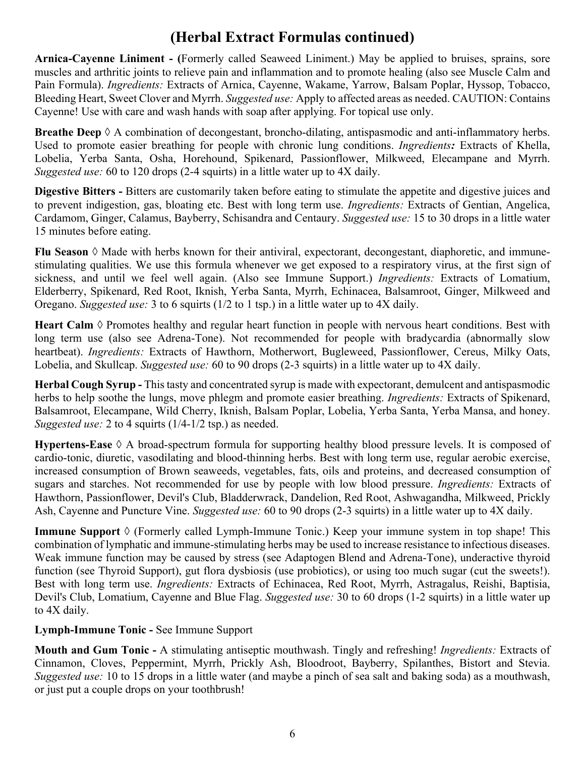### **(Herbal Extract Formulas continued)**

**Arnica-Cayenne Liniment - (**Formerly called Seaweed Liniment.) May be applied to bruises, sprains, sore muscles and arthritic joints to relieve pain and inflammation and to promote healing (also see Muscle Calm and Pain Formula). *Ingredients:* Extracts of Arnica, Cayenne, Wakame, Yarrow, Balsam Poplar, Hyssop, Tobacco, Bleeding Heart, Sweet Clover and Myrrh. *Suggested use:* Apply to affected areas as needed. CAUTION: Contains Cayenne! Use with care and wash hands with soap after applying. For topical use only.

**Breathe Deep**  $\Diamond$  A combination of decongestant, broncho-dilating, antispasmodic and anti-inflammatory herbs. Used to promote easier breathing for people with chronic lung conditions. *Ingredients:* Extracts of Khella, Lobelia, Yerba Santa, Osha, Horehound, Spikenard, Passionflower, Milkweed, Elecampane and Myrrh. *Suggested use:* 60 to 120 drops (2-4 squirts) in a little water up to 4X daily.

**Digestive Bitters -** Bitters are customarily taken before eating to stimulate the appetite and digestive juices and to prevent indigestion, gas, bloating etc. Best with long term use. *Ingredients:* Extracts of Gentian, Angelica, Cardamom, Ginger, Calamus, Bayberry, Schisandra and Centaury. *Suggested use:* 15 to 30 drops in a little water 15 minutes before eating.

**Flu Season**  $\Diamond$  Made with herbs known for their antiviral, expectorant, decongestant, diaphoretic, and immunestimulating qualities. We use this formula whenever we get exposed to a respiratory virus, at the first sign of sickness, and until we feel well again. (Also see Immune Support.) *Ingredients:* Extracts of Lomatium, Elderberry, Spikenard, Red Root, Iknish, Yerba Santa, Myrrh, Echinacea, Balsamroot, Ginger, Milkweed and Oregano. *Suggested use:* 3 to 6 squirts (1/2 to 1 tsp.) in a little water up to 4X daily.

Heart Calm  $\Diamond$  Promotes healthy and regular heart function in people with nervous heart conditions. Best with long term use (also see Adrena-Tone). Not recommended for people with bradycardia (abnormally slow heartbeat). *Ingredients:* Extracts of Hawthorn, Motherwort, Bugleweed, Passionflower, Cereus, Milky Oats, Lobelia, and Skullcap. *Suggested use:* 60 to 90 drops (2-3 squirts) in a little water up to 4X daily.

**Herbal Cough Syrup -** This tasty and concentrated syrup is made with expectorant, demulcent and antispasmodic herbs to help soothe the lungs, move phlegm and promote easier breathing. *Ingredients:* Extracts of Spikenard, Balsamroot, Elecampane, Wild Cherry, Iknish, Balsam Poplar, Lobelia, Yerba Santa, Yerba Mansa, and honey. *Suggested use:* 2 to 4 squirts (1/4-1/2 tsp.) as needed.

**Hypertens-Ease** à A broad-spectrum formula for supporting healthy blood pressure levels. It is composed of cardio-tonic, diuretic, vasodilating and blood-thinning herbs. Best with long term use, regular aerobic exercise, increased consumption of Brown seaweeds, vegetables, fats, oils and proteins, and decreased consumption of sugars and starches. Not recommended for use by people with low blood pressure. *Ingredients:* Extracts of Hawthorn, Passionflower, Devil's Club, Bladderwrack, Dandelion, Red Root, Ashwagandha, Milkweed, Prickly Ash, Cayenne and Puncture Vine. *Suggested use:* 60 to 90 drops (2-3 squirts) in a little water up to 4X daily.

**Immune Support**  $\Diamond$  (Formerly called Lymph-Immune Tonic.) Keep your immune system in top shape! This combination of lymphatic and immune-stimulating herbs may be used to increase resistance to infectious diseases. Weak immune function may be caused by stress (see Adaptogen Blend and Adrena-Tone), underactive thyroid function (see Thyroid Support), gut flora dysbiosis (use probiotics), or using too much sugar (cut the sweets!). Best with long term use. *Ingredients:* Extracts of Echinacea, Red Root, Myrrh, Astragalus, Reishi, Baptisia, Devil's Club, Lomatium, Cayenne and Blue Flag. *Suggested use:* 30 to 60 drops (1-2 squirts) in a little water up to 4X daily.

#### **Lymph-Immune Tonic -** See Immune Support

**Mouth and Gum Tonic -** A stimulating antiseptic mouthwash. Tingly and refreshing! *Ingredients:* Extracts of Cinnamon, Cloves, Peppermint, Myrrh, Prickly Ash, Bloodroot, Bayberry, Spilanthes, Bistort and Stevia. *Suggested use:* 10 to 15 drops in a little water (and maybe a pinch of sea salt and baking soda) as a mouthwash, or just put a couple drops on your toothbrush!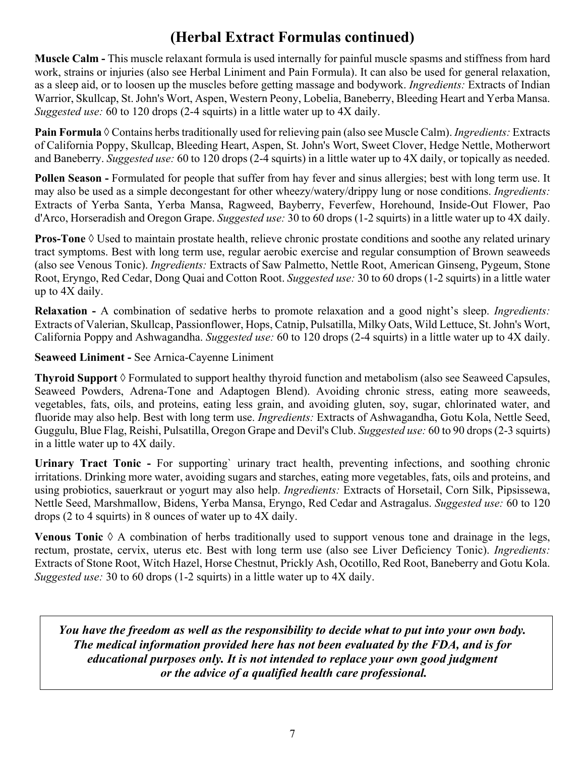### **(Herbal Extract Formulas continued)**

**Muscle Calm -** This muscle relaxant formula is used internally for painful muscle spasms and stiffness from hard work, strains or injuries (also see Herbal Liniment and Pain Formula). It can also be used for general relaxation, as a sleep aid, or to loosen up the muscles before getting massage and bodywork. *Ingredients:* Extracts of Indian Warrior, Skullcap, St. John's Wort, Aspen, Western Peony, Lobelia, Baneberry, Bleeding Heart and Yerba Mansa. *Suggested use:* 60 to 120 drops (2-4 squirts) in a little water up to 4X daily.

**Pain Formula** à Contains herbs traditionally used for relieving pain (also see Muscle Calm). *Ingredients:* Extracts of California Poppy, Skullcap, Bleeding Heart, Aspen, St. John's Wort, Sweet Clover, Hedge Nettle, Motherwort and Baneberry. *Suggested use:* 60 to 120 drops (2-4 squirts) in a little water up to 4X daily, or topically as needed.

**Pollen Season -** Formulated for people that suffer from hay fever and sinus allergies; best with long term use. It may also be used as a simple decongestant for other wheezy/watery/drippy lung or nose conditions. *Ingredients:*  Extracts of Yerba Santa, Yerba Mansa, Ragweed, Bayberry, Feverfew, Horehound, Inside-Out Flower, Pao d'Arco, Horseradish and Oregon Grape. *Suggested use:* 30 to 60 drops (1-2 squirts) in a little water up to 4X daily.

**Pros-Tone**  $\Diamond$  Used to maintain prostate health, relieve chronic prostate conditions and soothe any related urinary tract symptoms. Best with long term use, regular aerobic exercise and regular consumption of Brown seaweeds (also see Venous Tonic). *Ingredients:* Extracts of Saw Palmetto, Nettle Root, American Ginseng, Pygeum, Stone Root, Eryngo, Red Cedar, Dong Quai and Cotton Root. *Suggested use:* 30 to 60 drops (1-2 squirts) in a little water up to 4X daily.

**Relaxation -** A combination of sedative herbs to promote relaxation and a good night's sleep. *Ingredients:*  Extracts of Valerian, Skullcap, Passionflower, Hops, Catnip, Pulsatilla, Milky Oats, Wild Lettuce, St. John's Wort, California Poppy and Ashwagandha. *Suggested use:* 60 to 120 drops (2-4 squirts) in a little water up to 4X daily.

**Seaweed Liniment -** See Arnica-Cayenne Liniment

**Thyroid Support** à Formulated to support healthy thyroid function and metabolism (also see Seaweed Capsules, Seaweed Powders, Adrena-Tone and Adaptogen Blend). Avoiding chronic stress, eating more seaweeds, vegetables, fats, oils, and proteins, eating less grain, and avoiding gluten, soy, sugar, chlorinated water, and fluoride may also help. Best with long term use. *Ingredients:* Extracts of Ashwagandha, Gotu Kola, Nettle Seed, Guggulu, Blue Flag, Reishi, Pulsatilla, Oregon Grape and Devil's Club. *Suggested use:* 60 to 90 drops (2-3 squirts) in a little water up to 4X daily.

**Urinary Tract Tonic -** For supporting` urinary tract health, preventing infections, and soothing chronic irritations. Drinking more water, avoiding sugars and starches, eating more vegetables, fats, oils and proteins, and using probiotics, sauerkraut or yogurt may also help. *Ingredients:* Extracts of Horsetail, Corn Silk, Pipsissewa, Nettle Seed, Marshmallow, Bidens, Yerba Mansa, Eryngo, Red Cedar and Astragalus. *Suggested use:* 60 to 120 drops (2 to 4 squirts) in 8 ounces of water up to 4X daily.

**Venous Tonic**  $\Diamond$  A combination of herbs traditionally used to support venous tone and drainage in the legs, rectum, prostate, cervix, uterus etc. Best with long term use (also see Liver Deficiency Tonic). *Ingredients:*  Extracts of Stone Root, Witch Hazel, Horse Chestnut, Prickly Ash, Ocotillo, Red Root, Baneberry and Gotu Kola. *Suggested use:* 30 to 60 drops (1-2 squirts) in a little water up to 4X daily.

*You have the freedom as well as the responsibility to decide what to put into your own body. The medical information provided here has not been evaluated by the FDA, and is for educational purposes only. It is not intended to replace your own good judgment or the advice of a qualified health care professional.*